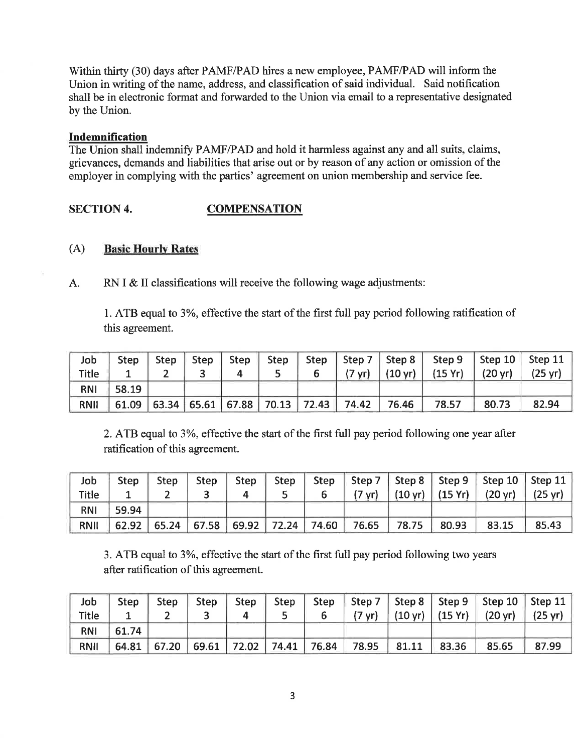Within thirty (30) days after PAMF/PAD hires a new employee, PAMF/PAD will inform the Union in writing of the name, address, and classification of said individual. Said notification shall be in electronic format and forwarded to the Union via email to a representative designated by the Union.

## Indemnification

The Union shall indemnify PAMF/PAD and hold it harmless against any and all suits, claims, grievances, demands and liabilities that arise out or by reason of any action or omission of the employer in complying with the parties' agreement on union membership and service fee.

## SECTION 4. COMPENSATION

## (A) Basic Hourlv Rates

A. RN I & II classifications will receive the following wage adjustments:

1. ATB equal to 3%, effective the start of the first full pay period following ratification of this agreement.

| Job         | <b>Step</b> | <b>Step</b> | Step | Step | Step |                               |                  |       |                                     |                   | Step   Step 7   Step 8   Step 9   Step 10   Step 11 |
|-------------|-------------|-------------|------|------|------|-------------------------------|------------------|-------|-------------------------------------|-------------------|-----------------------------------------------------|
| Title       |             |             |      |      |      |                               | $(7 \text{ yr})$ |       | $(10 \text{ yr})$ $(15 \text{ Yr})$ | $(20 \text{ yr})$ | $(25 \text{ yr})$                                   |
| <b>RNI</b>  | 58.19       |             |      |      |      |                               |                  |       |                                     |                   |                                                     |
| <b>RNII</b> | 61.09       |             |      |      |      | 63.34 65.61 67.88 70.13 72.43 | 74.42            | 76.46 | 78.57                               | 80.73             | 82.94                                               |

2. ATB equal to 3Yo, effective the start of the first full pay period following one year after ratification of this agreement.

| Job          | Step  | Step $\ $ |  |  |                                                                 |         | Step   Step   Step   Step   Step 7   Step 8   Step 9   Step 10   Step 11                 |       |
|--------------|-------|-----------|--|--|-----------------------------------------------------------------|---------|------------------------------------------------------------------------------------------|-------|
| <b>Title</b> |       |           |  |  |                                                                 |         | $(7 \text{ yr})$ $(10 \text{ yr})$ $(15 \text{ Yr})$ $(20 \text{ yr})$ $(25 \text{ yr})$ |       |
| <b>RNI</b>   | 59.94 |           |  |  |                                                                 |         |                                                                                          |       |
| RNII         |       |           |  |  | $62.92$   65.24   67.58   69.92   72.24   74.60   76.65   78.75 | $80.93$ | 83.15                                                                                    | 85.43 |

3. ATB equal to 3Yo, effective the start of the first fulI pay period following two years after ratification of this agreement.

| Job         | <b>Step</b> | <b>Step</b> |  |  |  |                                                                       | Step   Step   Step   Step   Step 7   Step 8   Step 9   Step 10   Step 11                 |       |
|-------------|-------------|-------------|--|--|--|-----------------------------------------------------------------------|------------------------------------------------------------------------------------------|-------|
| Title       |             |             |  |  |  |                                                                       | $(7 \text{ yr})$ $(10 \text{ yr})$ $(15 \text{ Yr})$ $(20 \text{ yr})$ $(25 \text{ yr})$ |       |
| <b>RNI</b>  | 61.74       |             |  |  |  |                                                                       |                                                                                          |       |
| <b>RNII</b> |             |             |  |  |  | 64.81   67.20   69.61   72.02   74.41   76.84   78.95   81.11   83.36 | 85.65                                                                                    | 87.99 |